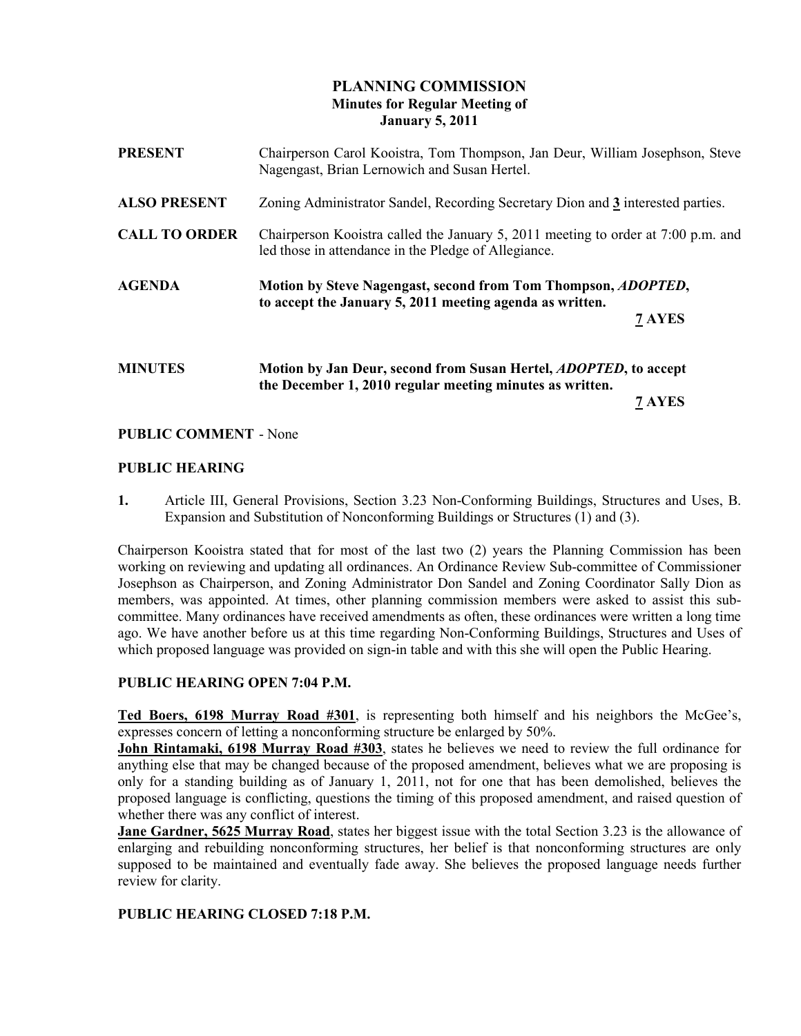# PLANNING COMMISSION Minutes for Regular Meeting of January 5, 2011

| <b>PRESENT</b>       | Chairperson Carol Kooistra, Tom Thompson, Jan Deur, William Josephson, Steve<br>Nagengast, Brian Lernowich and Susan Hertel.              |
|----------------------|-------------------------------------------------------------------------------------------------------------------------------------------|
| <b>ALSO PRESENT</b>  | Zoning Administrator Sandel, Recording Secretary Dion and 3 interested parties.                                                           |
| <b>CALL TO ORDER</b> | Chairperson Kooistra called the January 5, 2011 meeting to order at 7:00 p.m. and<br>led those in attendance in the Pledge of Allegiance. |
| <b>AGENDA</b>        | Motion by Steve Nagengast, second from Tom Thompson, <i>ADOPTED</i> ,<br>to accept the January 5, 2011 meeting agenda as written.         |
|                      | 7 AYES                                                                                                                                    |
| <b>MINUTES</b>       | Motion by Jan Deur, second from Susan Hertel, <i>ADOPTED</i> , to accept<br>the December 1, 2010 regular meeting minutes as written.      |
|                      | 7 AYES                                                                                                                                    |

## PUBLIC COMMENT - None

## PUBLIC HEARING

1. Article III, General Provisions, Section 3.23 Non-Conforming Buildings, Structures and Uses, B. Expansion and Substitution of Nonconforming Buildings or Structures (1) and (3).

Chairperson Kooistra stated that for most of the last two (2) years the Planning Commission has been working on reviewing and updating all ordinances. An Ordinance Review Sub-committee of Commissioner Josephson as Chairperson, and Zoning Administrator Don Sandel and Zoning Coordinator Sally Dion as members, was appointed. At times, other planning commission members were asked to assist this subcommittee. Many ordinances have received amendments as often, these ordinances were written a long time ago. We have another before us at this time regarding Non-Conforming Buildings, Structures and Uses of which proposed language was provided on sign-in table and with this she will open the Public Hearing.

## PUBLIC HEARING OPEN 7:04 P.M.

Ted Boers, 6198 Murray Road #301, is representing both himself and his neighbors the McGee's, expresses concern of letting a nonconforming structure be enlarged by 50%.

John Rintamaki, 6198 Murray Road #303, states he believes we need to review the full ordinance for anything else that may be changed because of the proposed amendment, believes what we are proposing is only for a standing building as of January 1, 2011, not for one that has been demolished, believes the proposed language is conflicting, questions the timing of this proposed amendment, and raised question of whether there was any conflict of interest.

Jane Gardner, 5625 Murray Road, states her biggest issue with the total Section 3.23 is the allowance of enlarging and rebuilding nonconforming structures, her belief is that nonconforming structures are only supposed to be maintained and eventually fade away. She believes the proposed language needs further review for clarity.

## PUBLIC HEARING CLOSED 7:18 P.M.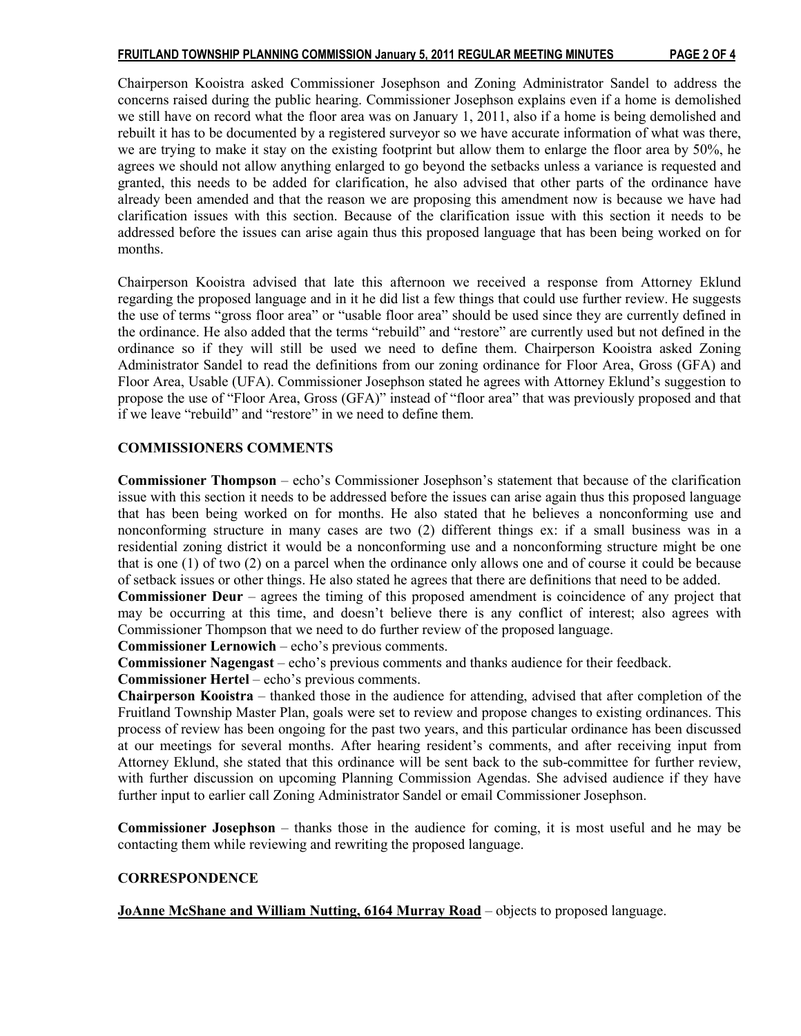Chairperson Kooistra asked Commissioner Josephson and Zoning Administrator Sandel to address the concerns raised during the public hearing. Commissioner Josephson explains even if a home is demolished we still have on record what the floor area was on January 1, 2011, also if a home is being demolished and rebuilt it has to be documented by a registered surveyor so we have accurate information of what was there, we are trying to make it stay on the existing footprint but allow them to enlarge the floor area by 50%, he agrees we should not allow anything enlarged to go beyond the setbacks unless a variance is requested and granted, this needs to be added for clarification, he also advised that other parts of the ordinance have already been amended and that the reason we are proposing this amendment now is because we have had clarification issues with this section. Because of the clarification issue with this section it needs to be addressed before the issues can arise again thus this proposed language that has been being worked on for months.

Chairperson Kooistra advised that late this afternoon we received a response from Attorney Eklund regarding the proposed language and in it he did list a few things that could use further review. He suggests the use of terms "gross floor area" or "usable floor area" should be used since they are currently defined in the ordinance. He also added that the terms "rebuild" and "restore" are currently used but not defined in the ordinance so if they will still be used we need to define them. Chairperson Kooistra asked Zoning Administrator Sandel to read the definitions from our zoning ordinance for Floor Area, Gross (GFA) and Floor Area, Usable (UFA). Commissioner Josephson stated he agrees with Attorney Eklund's suggestion to propose the use of "Floor Area, Gross (GFA)" instead of "floor area" that was previously proposed and that if we leave "rebuild" and "restore" in we need to define them.

## COMMISSIONERS COMMENTS

Commissioner Thompson – echo's Commissioner Josephson's statement that because of the clarification issue with this section it needs to be addressed before the issues can arise again thus this proposed language that has been being worked on for months. He also stated that he believes a nonconforming use and nonconforming structure in many cases are two (2) different things ex: if a small business was in a residential zoning district it would be a nonconforming use and a nonconforming structure might be one that is one (1) of two (2) on a parcel when the ordinance only allows one and of course it could be because of setback issues or other things. He also stated he agrees that there are definitions that need to be added.

Commissioner Deur – agrees the timing of this proposed amendment is coincidence of any project that may be occurring at this time, and doesn't believe there is any conflict of interest; also agrees with Commissioner Thompson that we need to do further review of the proposed language.

Commissioner Lernowich – echo's previous comments.

Commissioner Nagengast – echo's previous comments and thanks audience for their feedback.

Commissioner Hertel – echo's previous comments.

Chairperson Kooistra – thanked those in the audience for attending, advised that after completion of the Fruitland Township Master Plan, goals were set to review and propose changes to existing ordinances. This process of review has been ongoing for the past two years, and this particular ordinance has been discussed at our meetings for several months. After hearing resident's comments, and after receiving input from Attorney Eklund, she stated that this ordinance will be sent back to the sub-committee for further review, with further discussion on upcoming Planning Commission Agendas. She advised audience if they have further input to earlier call Zoning Administrator Sandel or email Commissioner Josephson.

Commissioner Josephson – thanks those in the audience for coming, it is most useful and he may be contacting them while reviewing and rewriting the proposed language.

# **CORRESPONDENCE**

JoAnne McShane and William Nutting, 6164 Murray Road – objects to proposed language.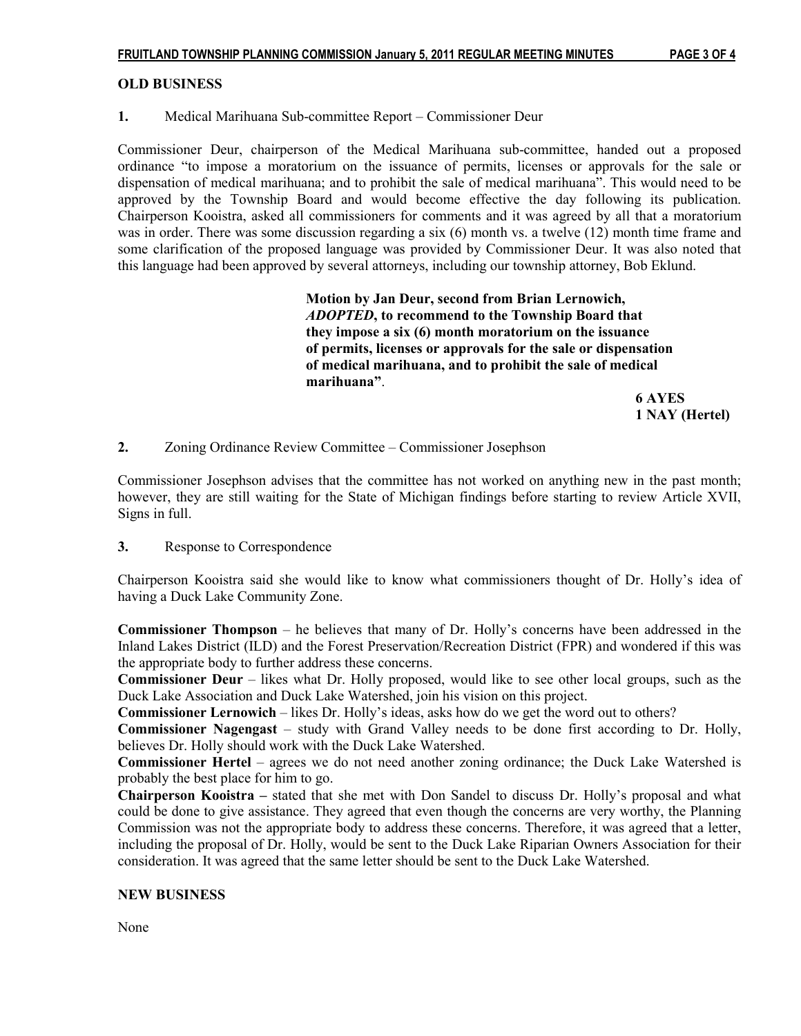## OLD BUSINESS

## 1. Medical Marihuana Sub-committee Report – Commissioner Deur

Commissioner Deur, chairperson of the Medical Marihuana sub-committee, handed out a proposed ordinance "to impose a moratorium on the issuance of permits, licenses or approvals for the sale or dispensation of medical marihuana; and to prohibit the sale of medical marihuana". This would need to be approved by the Township Board and would become effective the day following its publication. Chairperson Kooistra, asked all commissioners for comments and it was agreed by all that a moratorium was in order. There was some discussion regarding a six (6) month vs. a twelve (12) month time frame and some clarification of the proposed language was provided by Commissioner Deur. It was also noted that this language had been approved by several attorneys, including our township attorney, Bob Eklund.

> Motion by Jan Deur, second from Brian Lernowich, ADOPTED, to recommend to the Township Board that they impose a six (6) month moratorium on the issuance of permits, licenses or approvals for the sale or dispensation of medical marihuana, and to prohibit the sale of medical marihuana".

 6 AYES 1 NAY (Hertel)

2. Zoning Ordinance Review Committee – Commissioner Josephson

Commissioner Josephson advises that the committee has not worked on anything new in the past month; however, they are still waiting for the State of Michigan findings before starting to review Article XVII, Signs in full.

## 3. Response to Correspondence

Chairperson Kooistra said she would like to know what commissioners thought of Dr. Holly's idea of having a Duck Lake Community Zone.

Commissioner Thompson – he believes that many of Dr. Holly's concerns have been addressed in the Inland Lakes District (ILD) and the Forest Preservation/Recreation District (FPR) and wondered if this was the appropriate body to further address these concerns.

Commissioner Deur – likes what Dr. Holly proposed, would like to see other local groups, such as the Duck Lake Association and Duck Lake Watershed, join his vision on this project.

Commissioner Lernowich – likes Dr. Holly's ideas, asks how do we get the word out to others?

Commissioner Nagengast – study with Grand Valley needs to be done first according to Dr. Holly, believes Dr. Holly should work with the Duck Lake Watershed.

Commissioner Hertel – agrees we do not need another zoning ordinance; the Duck Lake Watershed is probably the best place for him to go.

Chairperson Kooistra – stated that she met with Don Sandel to discuss Dr. Holly's proposal and what could be done to give assistance. They agreed that even though the concerns are very worthy, the Planning Commission was not the appropriate body to address these concerns. Therefore, it was agreed that a letter, including the proposal of Dr. Holly, would be sent to the Duck Lake Riparian Owners Association for their consideration. It was agreed that the same letter should be sent to the Duck Lake Watershed.

## NEW BUSINESS

None